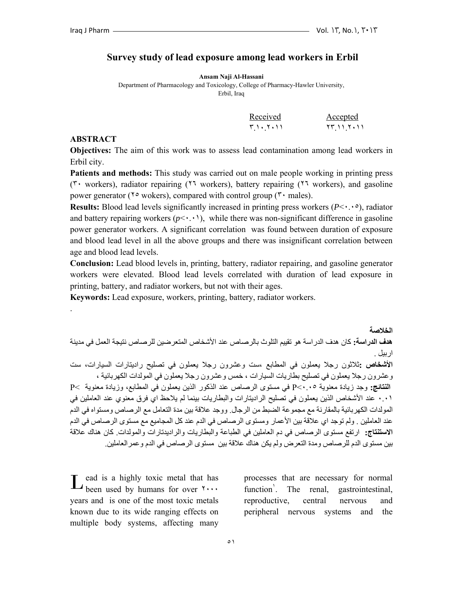#### **Survey study of lead exposure among lead workers in Erbil**

**Ansam Naji Al-Hassani** 

Department of Pharmacology and Toxicology, College of Pharmacy-Hawler University, Erbil, Iraq

| Received             | <u>Accepted</u> |
|----------------------|-----------------|
| ۲ <i>۱</i> ، ۲ ، ۱ ۱ | 77 11 7.11      |

#### **ABSTRACT**

.

**Objectives:** The aim of this work was to assess lead contamination among lead workers in Erbil city.

**Patients and methods:** This study was carried out on male people working in printing press (٣٠ workers), radiator repairing (٢٦ workers), battery repairing (٢٦ workers), and gasoline power generator ( $\sqrt{6}$  wokers), compared with control group ( $\sqrt{6}$  males).

**Results:** Blood lead levels significantly increased in printing press workers (*P*<٠.٠٥), radiator and battery repairing workers  $(p \leq \cdot \cdot \cdot)$ , while there was non-significant difference in gasoline power generator workers. A significant correlation was found between duration of exposure and blood lead level in all the above groups and there was insignificant correlation between age and blood lead levels.

**Conclusion:** Lead blood levels in, printing, battery, radiator repairing, and gasoline generator workers were elevated. Blood lead levels correlated with duration of lead exposure in printing, battery, and radiator workers, but not with their ages.

**Keywords:** Lead exposure, workers, printing, battery, radiator workers.

**الخلاصة هدف الدراسة:** آان هدف الدراسة هو تقييم التلوث بالرصاص عند الأشخاص المتعرضين للرصاص نتيجة العمل في مدينة اربيل . **الأشخاص :**ثلاثون رجلا يعملون في المطابع ،ست وعشرون رجلا يعملون في تصليح راديتارات السيارات، ست وعشرون رجلا يعملون في تصليح بطاريات السيارات ، خمس وعشرون رجلا يعملون في المولدات الكهربائية ، **النتائج:** وجد زيادة معنوية ٠.٠٥>P في مستوى الرصاص عند الذآور الذين يعملون في المطابع، وزيادة معنوية >P ٠.٠١ عند الأشخاص الذين يعملون في تصليح الراديتارات والبطاريات بينما لم يلاحظ اي فرق معنوي عند العاملين في المولدات الكهربائية بالمقارنة مع مجموعة الضبط من الرجال. ووجد علاقة بين مدة التعامل مع الرصاص ومستواه في الدم عند العاملين . ولم توجد اي علاقة بين الأعمار ومستوى الرصاص في الدم عند كل المجاميع مع مستوى الرصاص في الدم **الاستنتاج:** ارتفع مستوى الرصاص في دم العاملين في الطباعة والبطاريات والراديدتارات والمولدات. آان هناك علاقة بين مستوى الدم للرصاص ومدة التعرض ولم يكن هناك علاقة بين مستوى الرصاص في الدم وعمرالعاملين.

ead is a highly toxic metal that has L ead is a highly toxic metal that has<br>been used by humans for over  $\cdots$ years and is one of the most toxic metals known due to its wide ranging effects on multiple body systems, affecting many

processes that are necessary for normal  $function'$ . . The renal, gastrointestinal, reproductive, central nervous and peripheral nervous systems and the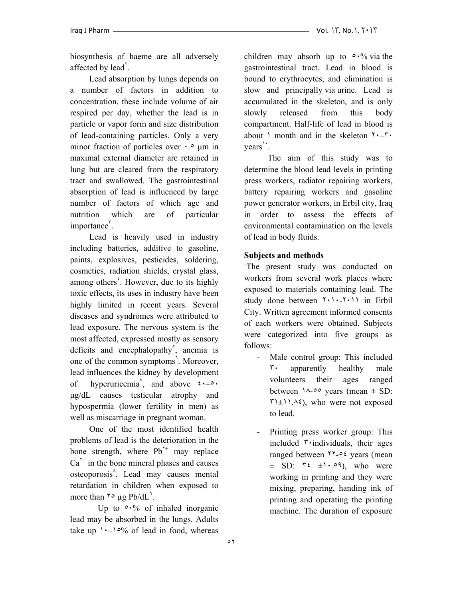biosynthesis of haeme are all adversely affected by lead<sup>Y</sup>.

 Lead absorption by lungs depends on a number of factors in addition to concentration, these include volume of air respired per day, whether the lead is in particle or vapor form and size distribution of lead-containing particles. Only a very minor fraction of particles over  $\cdot$ .<sup>o</sup>  $\mu$ m in maximal external diameter are retained in lung but are cleared from the respiratory tract and swallowed. The gastrointestinal absorption of lead is influenced by large number of factors of which age and nutrition which are of particular importance<sup>r</sup>.

 Lead is heavily used in industry including batteries, additive to gasoline, paints, explosives, pesticides, soldering, cosmetics, radiation shields, crystal glass, among others<sup>*'*</sup>. However, due to its highly toxic effects, its uses in industry have been highly limited in recent years. Several diseases and syndromes were attributed to lead exposure. The nervous system is the most affected, expressed mostly as sensory deficits and encephalopathy<sup>°</sup>, anemia is one of the common symptoms<sup>7</sup>. Moreover, lead influences the kidney by development of hyperuricemia<sup> $\theta$ </sup>, and above  $\theta \cdot - \theta \cdot$ µg/dL causes testicular atrophy and hypospermia (lower fertility in men) as well as miscarriage in pregnant woman.

 One of the most identified health problems of lead is the deterioration in the bone strength, where  $Pb^{r+}$  may replace  $Ca<sup>7+</sup>$  in the bone mineral phases and causes osteoporosis<sup>^</sup>. Lead may causes mental retardation in children when exposed to more than  $\gamma \circ \mu g \, Pb/dL^4$ .

Up to  $\circ \cdot\%$  of inhaled inorganic lead may be absorbed in the lungs. Adults take up  $\lambda - \frac{10}{6}$  of lead in food, whereas

children may absorb up to  $\circ \cdot\%$  via the gastrointestinal tract. Lead in blood is bound to erythrocytes, and elimination is slow and principally via urine. Lead is accumulated in the skeleton, and is only slowly released from this body compartment. Half-life of lead in blood is about  $\lambda$  month and in the skeleton  $\lambda - \lambda$ . years<sup>1</sup>.

 The aim of this study was to determine the blood lead levels in printing press workers, radiator repairing workers, battery repairing workers and gasoline power generator workers, in Erbil city, Iraq in order to assess the effects of environmental contamination on the levels of lead in body fluids.

### **Subjects and methods**

 The present study was conducted on workers from several work places where exposed to materials containing lead. The study done between ٢٠١٠-٢٠١١ in Erbil City. Written agreement informed consents of each workers were obtained. Subjects were categorized into five groups as follows:

- Male control group: This included ٣٠ apparently healthy male volunteers their ages ranged between  $\lambda_{\text{0}} \circ \text{years}$  (mean  $\pm$  SD:  $\forall x \in \{1, 1, 2, 3\}$ , who were not exposed to lead.
- Printing press worker group: This included  $\ddot{\cdot}$  individuals, their ages ranged between ٢٢-٥٤ years (mean  $\pm$  SD:  $\mathsf{r} \mathfrak{t}$   $\pm \mathfrak{t} \cdot \mathfrak{e} \mathfrak{q}$ , who were working in printing and they were mixing, preparing, handing ink of printing and operating the printing machine. The duration of exposure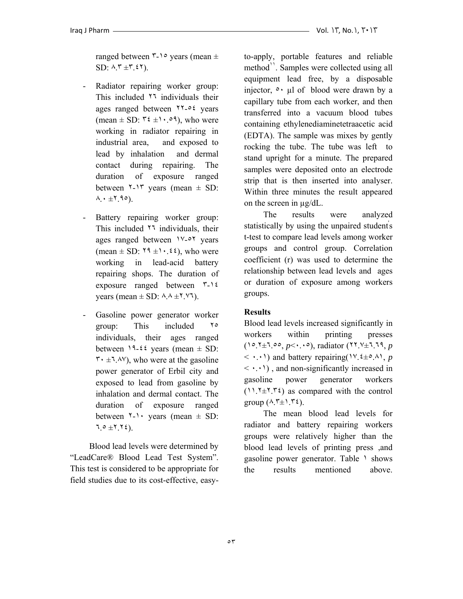ranged between  $\zeta$ -1. years (mean  $\pm$  $SD: \Lambda, \mathcal{F} \pm \mathcal{F}, \mathcal{E} \mathcal{F}$ ).

- Radiator repairing worker group: This included ٢٦ individuals their ages ranged between ٢٢-٥٤ years (mean  $\pm$  SD:  $\forall \xi \pm 1 \cdot .09$ ), who were working in radiator repairing in industrial area, and exposed to lead by inhalation and dermal contact during repairing. The duration of exposure ranged between  $\zeta$ -15 years (mean  $\pm$  SD:  $\wedge \cdot \pm 1.90$ .
- Battery repairing worker group: This included  $11$  individuals, their ages ranged between ١٧-٥٢ years (mean  $\pm$  SD:  $\zeta$ <sup>4</sup>  $\pm$  1 ·  $\zeta$   $\zeta$ ), who were working in lead-acid battery repairing shops. The duration of exposure ranged between ٣-١٤ years (mean  $\pm$  SD:  $\lambda \lambda \pm 1$ .  $\forall$  1).
- Gasoline power generator worker group: This included ٢٥ individuals, their ages ranged between  $19-22$  years (mean  $\pm$  SD:  $\mathbf{r} \cdot \pm \mathbf{1} \cdot \mathbf{A} \mathbf{v}$ , who were at the gasoline power generator of Erbil city and exposed to lead from gasoline by inhalation and dermal contact. The duration of exposure ranged between  $\lambda$ - $\cdot$  years (mean  $\pm$  SD:  $7.0 \pm 7.72$ .

 Blood lead levels were determined by "LeadCare® Blood Lead Test System". This test is considered to be appropriate for field studies due to its cost-effective, easyto-apply, portable features and reliable method<sup>11</sup>. Samples were collected using all equipment lead free, by a disposable injector,  $\circ$  ul of blood were drawn by a capillary tube from each worker, and then transferred into a vacuum blood tubes containing ethylenediaminetetraacetic acid (EDTA). The sample was mixes by gently rocking the tube. The tube was left to stand upright for a minute. The prepared samples were deposited onto an electrode strip that is then inserted into analyser. Within three minutes the result appeared on the screen in µg/dL.

 The results were analyzed statistically by using the unpaired students t-test to compare lead levels among worker groups and control group. Correlation coefficient (r) was used to determine the relationship between lead levels and ages or duration of exposure among workers groups.

## **Results**

Blood lead levels increased significantly in workers within printing presses (١٥.٢±٦.٥٥, *p*<٠.٠٥), radiator (٢٢.٧±٦.٦٩, *p*  $\langle \cdot, \cdot \cdot \rangle$  and battery repairing( $\vee, \{ \pm \circ \wedge \}$ , *p*  $\langle \cdot, \cdot \rangle$ , and non-significantly increased in gasoline power generator workers  $(11.7 \pm 7.72)$  as compared with the control group  $(\lambda, \tau_{\pm}), \tau_{\epsilon}$ ).

 The mean blood lead levels for radiator and battery repairing workers groups were relatively higher than the blood lead levels of printing press ,and gasoline power generator. Table 1 shows the results mentioned above.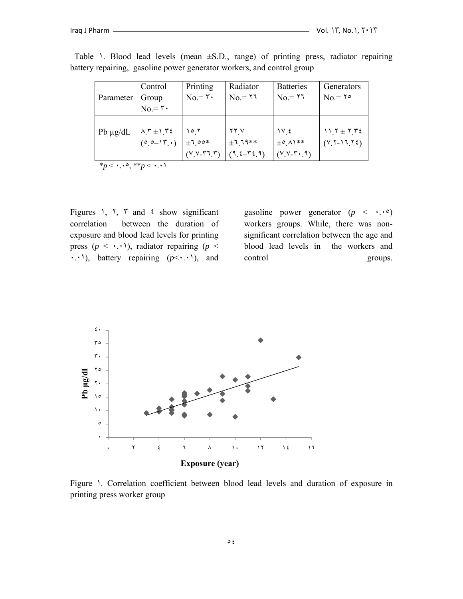|               | Control                                                              | Printing                         | Radiator         | <b>Batteries</b>       | Generators         |  |  |
|---------------|----------------------------------------------------------------------|----------------------------------|------------------|------------------------|--------------------|--|--|
| Parameter     | Group                                                                | $No = \tau$                      | $No = 17$        | $No = 11$              | $No = 1^{\circ}$   |  |  |
|               | $No = \tau$                                                          |                                  |                  |                        |                    |  |  |
|               |                                                                      |                                  |                  |                        |                    |  |  |
| Pb $\mu$ g/dL |                                                                      | ۲ ۱۵                             | YY V             | $\frac{1}{2}$          | $11.7 \pm 7.72$    |  |  |
|               | $\begin{pmatrix} \lambda \, r \pm 1 & r \end{pmatrix}$<br>(0.0-15.1) | $\pm 7.00*$                      | $+111**$         | $\pm$ °. $\wedge$ \**  | $(Y_1 - 11_1 + 2)$ |  |  |
|               |                                                                      | $(Y, Y, \mathbf{r}, \mathbf{r})$ | $(9, 2 - 72, 9)$ | $(Y,Y-T, \mathcal{A})$ |                    |  |  |
|               | *p < $\cdot \cdot \cdot$ o, **p < $\cdot \cdot \cdot$                |                                  |                  |                        |                    |  |  |

Table 1. Blood lead levels (mean  $\pm$ S.D., range) of printing press, radiator repairing battery repairing, gasoline power generator workers, and control group

Figures 1,  $\zeta$ ,  $\zeta$  and  $\zeta$  show significant correlation between the duration of exposure and blood lead levels for printing press  $(p \leq \cdot \cdot \cdot)$ , radiator repairing  $(p \leq \cdot \cdot \cdot)$ ٠.٠١), battery repairing (*p*<٠.٠١), and

gasoline power generator  $(p \leq \cdot, \cdot)$ workers groups. While, there was nonsignificant correlation between the age and blood lead levels in the workers and control groups.



Figure 1. Correlation coefficient between blood lead levels and duration of exposure in printing press worker group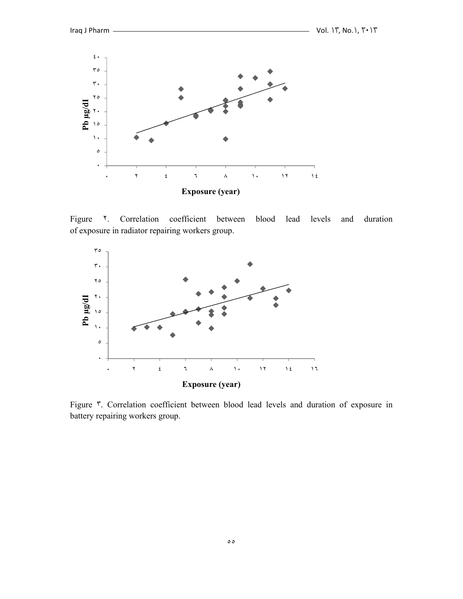

Figure <sup>1</sup>. Correlation coefficient between blood lead levels and duration of exposure in radiator repairing workers group.



Figure ٣. Correlation coefficient between blood lead levels and duration of exposure in battery repairing workers group.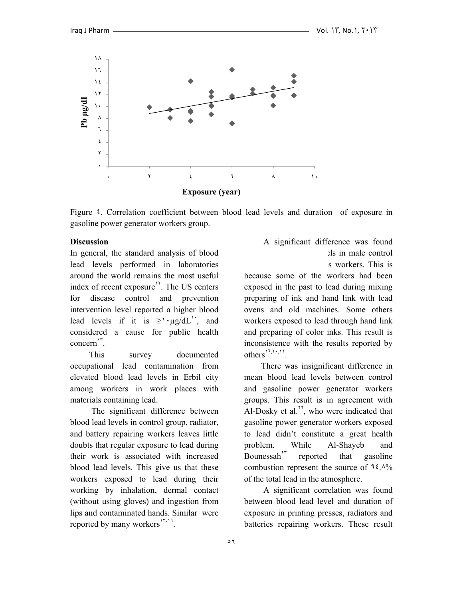

Figure ٤. Correlation coefficient between blood lead levels and duration of exposure in gasoline power generator workers group.

#### **Discussion**

In general, the standard analysis of blood lead levels performed in laboratories around the world remains the most useful index of recent exposure<sup>17</sup>. The US centers for disease control and prevention intervention level reported a higher blood lead levels if it is  $\geq$ '  $\mu$ g/dL<sup>'</sup>, and considered a cause for public health concern<sup>1</sup>

 This survey documented occupational lead contamination from elevated blood lead levels in Erbil city among workers in work places with materials containing lead.

 The significant difference between blood lead levels in control group, radiator, and battery repairing workers leaves little doubts that regular exposure to lead during their work is associated with increased blood lead levels. This give us that these workers exposed to lead during their working by inhalation, dermal contact (without using gloves) and ingestion from lips and contaminated hands. Similar were reported by many workers $1^{r-1}$ .

# A significant difference was found  $els$  in male control

s workers. This is

because some of the workers had been exposed in the past to lead during mixing preparing of ink and hand link with lead ovens and old machines. Some others workers exposed to lead through hand link and preparing of color inks. This result is inconsistence with the results reported by  $others^{\{1,1,1\}}$ .

 There was insignificant difference in mean blood lead levels between control and gasoline power generator workers groups. This result is in agreement with Al-Dosky et al. $''$ , who were indicated that gasoline power generator workers exposed to lead didn't constitute a great health problem. While Al-Shayeb and Bounessah<sup> $17$ </sup> reported that gasoline combustion represent the source of  $9\frac{2}{1}$ . of the total lead in the atmosphere.

 A significant correlation was found between blood lead level and duration of exposure in printing presses, radiators and batteries repairing workers. These result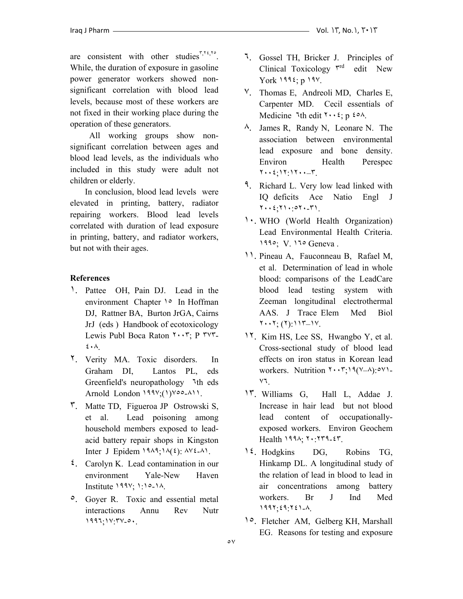are consistent with other studies $\sqrt[r, r^2, r^3]$ . While, the duration of exposure in gasoline power generator workers showed nonsignificant correlation with blood lead levels, because most of these workers are not fixed in their working place during the operation of these generators.

 All working groups show nonsignificant correlation between ages and blood lead levels, as the individuals who included in this study were adult not children or elderly.

 In conclusion, blood lead levels were elevated in printing, battery, radiator repairing workers. Blood lead levels correlated with duration of lead exposure in printing, battery, and radiator workers, but not with their ages.

# **References**

- ١. Pattee OH, Pain DJ. Lead in the environment Chapter 1° In Hoffman DJ, Rattner BA, Burton JrGA, Cairns JrJ (eds ) Handbook of ecotoxicology Lewis Publ Boca Raton ٢٠٠٣; P ٣٧٣- ٤٠٨.
- ٢. Verity MA. Toxic disorders. In Graham DI, Lantos PL, eds Greenfield's neuropathology ٦th eds Arnold London ١٩٩٧;(١)٧٥٥-٨١١.
- ٣. Matte TD, Figueroa JP Ostrowski S, et al. Lead poisoning among household members exposed to leadacid battery repair shops in Kingston Inter J Epidem  $19\lambda 9$ ;  $1\lambda (2)$ :  $\lambda 12\lambda 1$ .
- ٤. Carolyn K. Lead contamination in our environment Yale-New Haven Institute ١٩٩٧; ١:١٥-١٨.
- ٥. Goyer R. Toxic and essential metal interactions Annu Rev Nutr ١٩٩٦;١٧:٣٧-٥٠.
- ٦. Gossel TH, Bricker J. Principles of Clinical Toxicology  $r^{rd}$  edit New York ١٩٩٤; p ١٩٧.
- ٧. Thomas E, Andreoli MD, Charles E, Carpenter MD. Cecil essentials of Medicine  $\lambda$ th edit  $\lambda \cdot \lambda$ ; p  $\lambda \cdot \lambda$ .
- ٨. James R, Randy N, Leonare N. The association between environmental lead exposure and bone density. Environ Health Perespec ٢٠٠٤;١٢:١٢٠٠–٣.
- ٩. Richard L. Very low lead linked with IQ deficits Ace Natio Engl J ٢٠٠٤;٢١٠:٥٢٠-٣١.
- ١٠. WHO (World Health Organization) Lead Environmental Health Criteria. ١٩٩٥; V. ١٦٥ Geneva .
- ١١. Pineau A, Fauconneau B, Rafael M, et al. Determination of lead in whole blood: comparisons of the LeadCare blood lead testing system with Zeeman longitudinal electrothermal AAS. J Trace Elem Med Biol ٢٠٠٢; (٢):١١٣–١٧.
- ١٢. Kim HS, Lee SS, Hwangbo Y, et al. Cross-sectional study of blood lead effects on iron status in Korean lead workers. Nutrition ٢٠٠٣;١٩(٧–٨):٥٧١- ٧٦.
- ١٣. Williams G, Hall L, Addae J. Increase in hair lead but not blood lead content of occupationallyexposed workers. Environ Geochem Health ١٩٩٨; ٢٠:٢٣٩-٤٣.
- ١٤. Hodgkins DG, Robins TG, Hinkamp DL. A longitudinal study of the relation of lead in blood to lead in air concentrations among battery workers. Br J Ind Med ١٩٩٢;٤٩:٢٤١-٨.
- ١٥. Fletcher AM, Gelberg KH, Marshall EG. Reasons for testing and exposure